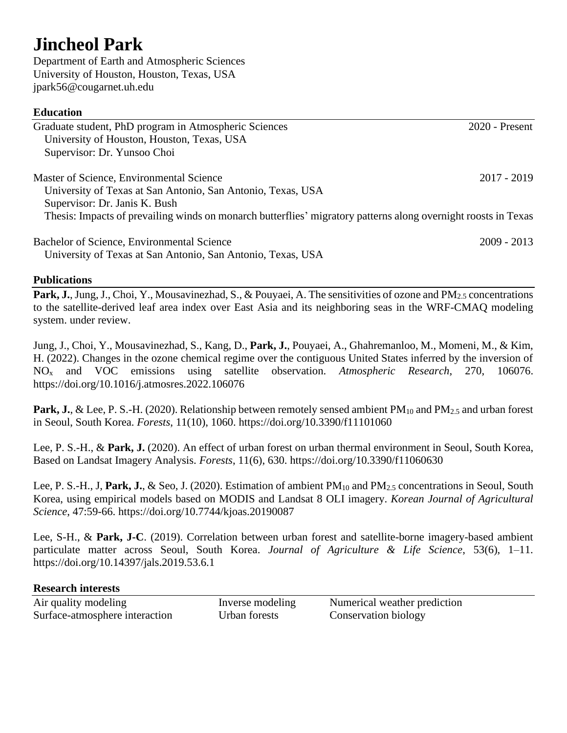## **Jincheol Park**

Department of Earth and Atmospheric Sciences University of Houston, Houston, Texas, USA jpark56@cougarnet.uh.edu

## **Education**

| Graduate student, PhD program in Atmospheric Sciences                                                          | $2020$ - Present |
|----------------------------------------------------------------------------------------------------------------|------------------|
| University of Houston, Houston, Texas, USA                                                                     |                  |
| Supervisor: Dr. Yunsoo Choi                                                                                    |                  |
| Master of Science, Environmental Science                                                                       | 2017 - 2019      |
| University of Texas at San Antonio, San Antonio, Texas, USA                                                    |                  |
| Supervisor: Dr. Janis K. Bush                                                                                  |                  |
| Thesis: Impacts of prevailing winds on monarch butterflies' migratory patterns along overnight roosts in Texas |                  |
| Bachelor of Science, Environmental Science                                                                     | $2009 - 2013$    |
| University of Texas at San Antonio, San Antonio, Texas, USA                                                    |                  |

## **Publications**

Park, J., Jung, J., Choi, Y., Mousavinezhad, S., & Pouyaei, A. The sensitivities of ozone and PM<sub>2.5</sub> concentrations to the satellite-derived leaf area index over East Asia and its neighboring seas in the WRF-CMAQ modeling system. under review.

Jung, J., Choi, Y., Mousavinezhad, S., Kang, D., **Park, J.**, Pouyaei, A., Ghahremanloo, M., Momeni, M., & Kim, H. (2022). Changes in the ozone chemical regime over the contiguous United States inferred by the inversion of NO<sup>x</sup> and VOC emissions using satellite observation. *Atmospheric Research*, 270, 106076. https://doi.org/10.1016/j.atmosres.2022.106076

**Park, J.**, & Lee, P. S.-H. (2020). Relationship between remotely sensed ambient PM<sub>10</sub> and PM<sub>2.5</sub> and urban forest in Seoul, South Korea. *Forests*, 11(10), 1060. https://doi.org/10.3390/f11101060

Lee, P. S.-H., & **Park, J.** (2020). An effect of urban forest on urban thermal environment in Seoul, South Korea, Based on Landsat Imagery Analysis. *Forests*, 11(6), 630. https://doi.org/10.3390/f11060630

Lee, P. S.-H., J. **Park, J.**, & Seo, J. (2020). Estimation of ambient PM<sub>10</sub> and PM<sub>2.5</sub> concentrations in Seoul, South Korea, using empirical models based on MODIS and Landsat 8 OLI imagery. *Korean Journal of Agricultural Science*, 47:59-66. https://doi.org/10.7744/kjoas.20190087

Lee, S-H., & **Park, J-C**. (2019). Correlation between urban forest and satellite-borne imagery-based ambient particulate matter across Seoul, South Korea. *Journal of Agriculture & Life Science*, 53(6), 1–11. https://doi.org/10.14397/jals.2019.53.6.1

## **Research interests**

| Air quality modeling           |
|--------------------------------|
| Surface-atmosphere interaction |

Inverse modeling Numerical weather prediction Urban forests Conservation biology